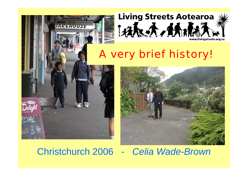

Christchurch 2006 - *Celia Wade-Brown*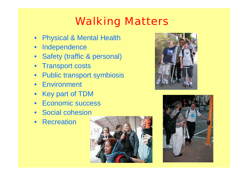# Walking Matters

- $\bullet$ **Physical & Mental Health**
- $\bullet$ Independence
- Safety (traffic & personal)
- Transport costs
- •Public transport symbiosis
- Environment
- Key part of TDM
- Economic success
- Social cohesion
- Recreation





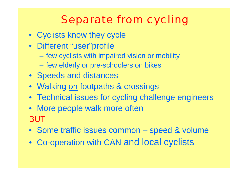# Separate from cycling

- Cyclists <u>know</u> they cycle
- Different "user"profile
	- –few cyclists with impaired vision or mobility
	- few elderly or pre-schoolers on bikes
- Speeds and distances
- Walking <u>on</u> footpaths & crossings
- Technical issues for cycling challenge engineers
- More people walk more often BUT
- Some traffic issues common speed & volume
- $\bullet$ Co-operation with CAN and local cyclists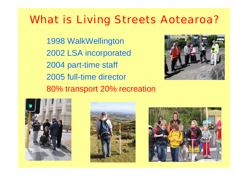## What is Living Streets Aotearoa?

1998 WalkWellington 2002 LSA incorporated 2004 part-time staff 2005 full-time director 80% transport 20% recreation







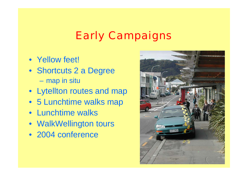## Early Campaigns

- Yellow feet!
- Shortcuts 2 a Degree –map in situ
- Lytellton routes and map
- 5 Lunchtime walks map
- Lunchtime walks
- WalkWellington tours
- 2004 conference

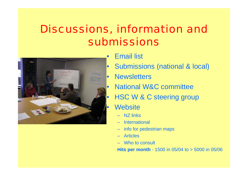# Discussions, information and submissions



- Email list
- Submissions (national & local)
- **Newsletters** 
	- National W&C committee
- HSC W & C steering group
	- **Website** 
		- –NZ links
		- International
		- info for pedestrian maps
		- Articles
		- Who to consult

**Hits per month** - 1500 in 05/04 to > 5000 in 05/06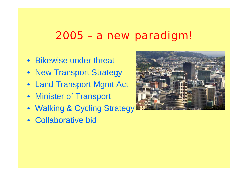#### 2005 – a new paradigm!

- Bikewise under threat
- New Transport Strategy
- Land Transport Mgmt Act
- Minister of Transport
- Walking & Cycling Strategy
- Collaborative bid

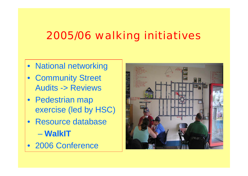## 2005/06 walking initiatives

- National networking
- Community Street Audits -> Reviews
- Pedestrian map exercise (led by HSC)
- $\bullet$  Resource database – **WalkIT**
- 2006 Conference

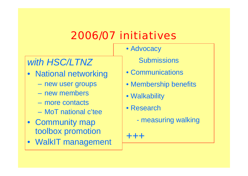## 2006/07 initiatives

#### *with HSC/LTNZ*

- National networking
	- new user groups
	- new members
	- more contacts
	- MoT national c'tee
- Community map toolbox promotion
- WalkIT management
- **Submissions**
- Communications
- Membership benefits
- Walkability

• Advocacy

- Research
	- measuring walking

+++